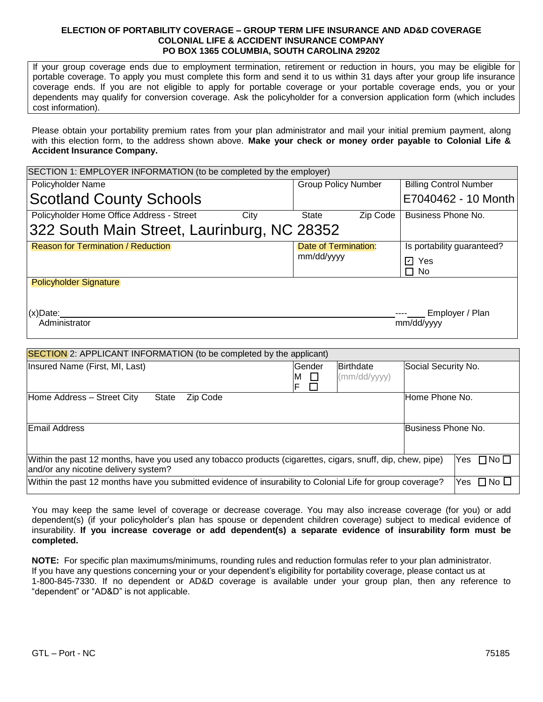## **ELECTION OF PORTABILITY COVERAGE – GROUP TERM LIFE INSURANCE AND AD&D COVERAGE COLONIAL LIFE & ACCIDENT INSURANCE COMPANY PO BOX 1365 COLUMBIA, SOUTH CAROLINA 29202**

If your group coverage ends due to employment termination, retirement or reduction in hours, you may be eligible for portable coverage. To apply you must complete this form and send it to us within 31 days after your group life insurance coverage ends. If you are not eligible to apply for portable coverage or your portable coverage ends, you or your dependents may qualify for conversion coverage. Ask the policyholder for a conversion application form (which includes cost information).

Please obtain your portability premium rates from your plan administrator and mail your initial premium payment, along with this election form, to the address shown above. **Make your check or money order payable to Colonial Life & Accident Insurance Company.**

| SECTION 1: EMPLOYER INFORMATION (to be completed by the employer)                                          |                  |                            |                               |
|------------------------------------------------------------------------------------------------------------|------------------|----------------------------|-------------------------------|
| Policyholder Name                                                                                          |                  | <b>Group Policy Number</b> | <b>Billing Control Number</b> |
| <b>Scotland County Schools</b>                                                                             |                  |                            | E7040462 - 10 Month           |
| Policyholder Home Office Address - Street<br>City                                                          | <b>State</b>     | Zip Code                   | Business Phone No.            |
| 322 South Main Street, Laurinburg, NC 28352                                                                |                  |                            |                               |
| <b>Reason for Termination / Reduction</b>                                                                  |                  | Date of Termination:       | Is portability guaranteed?    |
|                                                                                                            | mm/dd/yyyy       |                            | <b>☑</b> Yes                  |
|                                                                                                            |                  |                            | П<br><b>No</b>                |
| <b>Policyholder Signature</b>                                                                              |                  |                            |                               |
|                                                                                                            |                  |                            |                               |
| $(x)$ Date:<br>Administrator                                                                               |                  |                            | Employer / Plan<br>mm/dd/yyyy |
|                                                                                                            |                  |                            |                               |
| <b>SECTION</b> 2: APPLICANT INFORMATION (to be completed by the applicant)                                 |                  |                            |                               |
| Insured Name (First, MI, Last)                                                                             | Gender           | <b>Birthdate</b>           | Social Security No.           |
|                                                                                                            | □<br>M<br>F<br>П | (mm/dd/yyyy)               |                               |
| Home Address - Street City<br>Zip Code<br><b>State</b>                                                     |                  |                            | Home Phone No.                |
|                                                                                                            |                  |                            |                               |
| Email Address                                                                                              |                  |                            | Business Phone No.            |
|                                                                                                            |                  |                            |                               |
| Within the past 12 months, have you used any tobacco products (cigarettes, cigars, snuff, dip, chew, pipe) |                  |                            | Yes<br>$\square$ No $\square$ |

and/or any nicotine delivery system? Within the past 12 months have you submitted evidence of insurability to Colonial Life for group coverage? Yes  $\Box$  No  $\Box$ 

You may keep the same level of coverage or decrease coverage. You may also increase coverage (for you) or add dependent(s) (if your policyholder's plan has spouse or dependent children coverage) subject to medical evidence of insurability. **If you increase coverage or add dependent(s) a separate evidence of insurability form must be completed.**

**NOTE:** For specific plan maximums/minimums, rounding rules and reduction formulas refer to your plan administrator. If you have any questions concerning your or your dependent's eligibility for portability coverage, please contact us at 1-800-845-7330. If no dependent or AD&D coverage is available under your group plan, then any reference to "dependent" or "AD&D" is not applicable.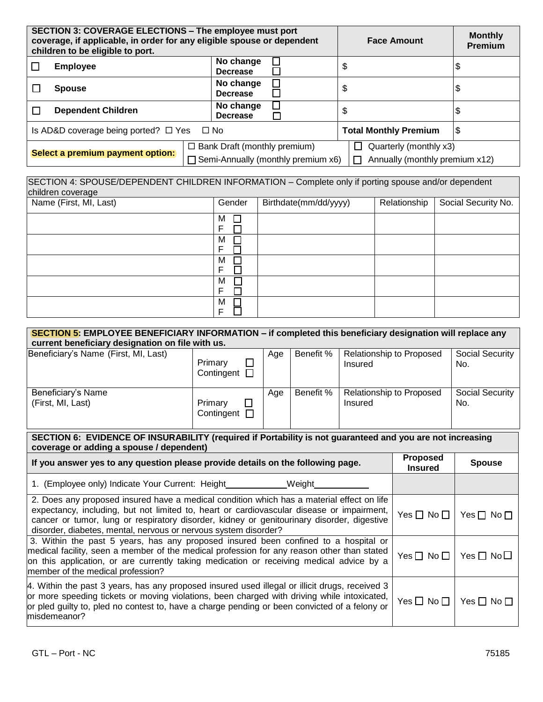| SECTION 3: COVERAGE ELECTIONS - The employee must port<br>coverage, if applicable, in order for any eligible spouse or dependent<br>children to be eligible to port. |                                                     |                                              | <b>Face Amount</b>             | <b>Monthly</b><br><b>Premium</b> |
|----------------------------------------------------------------------------------------------------------------------------------------------------------------------|-----------------------------------------------------|----------------------------------------------|--------------------------------|----------------------------------|
|                                                                                                                                                                      | <b>Employee</b>                                     | No change<br><b>Decrease</b>                 | \$                             |                                  |
|                                                                                                                                                                      | <b>Spouse</b>                                       | No change<br><b>Decrease</b>                 | \$                             | \$                               |
|                                                                                                                                                                      | <b>Dependent Children</b>                           | No change<br><b>Decrease</b><br>$\Box$       | \$                             | \$                               |
|                                                                                                                                                                      | Is AD&D coverage being ported? $\Box$ Yes $\Box$ No |                                              | <b>Total Monthly Premium</b>   | \$                               |
| Select a premium payment option:                                                                                                                                     |                                                     | $\Box$ Bank Draft (monthly premium)          | Quarterly (monthly x3)         |                                  |
|                                                                                                                                                                      |                                                     | $\Box$ Semi-Annually (monthly premium $x6$ ) | Annually (monthly premium x12) |                                  |

| SECTION 4: SPOUSE/DEPENDENT CHILDREN INFORMATION – Complete only if porting spouse and/or dependent |        |                       |  |                                    |  |  |  |
|-----------------------------------------------------------------------------------------------------|--------|-----------------------|--|------------------------------------|--|--|--|
| children coverage                                                                                   |        |                       |  |                                    |  |  |  |
| Name (First, MI, Last)                                                                              | Gender | Birthdate(mm/dd/yyyy) |  | Relationship   Social Security No. |  |  |  |

| $\frac{1}{2}$ valled $\frac{1}{2}$ in $\frac{1}{2}$ , $\frac{1}{2}$ ivery | <b>POLICE</b> | P | relationship   cooldi cooding red. |
|---------------------------------------------------------------------------|---------------|---|------------------------------------|
|                                                                           | М             |   |                                    |
|                                                                           | F             |   |                                    |
|                                                                           | M<br>−        |   |                                    |
|                                                                           | Е             |   |                                    |
|                                                                           | м             |   |                                    |
|                                                                           | F             |   |                                    |
|                                                                           | M             |   |                                    |
|                                                                           | F             |   |                                    |
|                                                                           | M             |   |                                    |
|                                                                           | F             |   |                                    |

| <b>SECTION 5:</b> EMPLOYEE BENEFICIARY INFORMATION – if completed this beneficiary designation will replace any<br>current beneficiary designation on file with us.                                                                                                                                                                                     |                                      |     |           |         |                                                    |                        |
|---------------------------------------------------------------------------------------------------------------------------------------------------------------------------------------------------------------------------------------------------------------------------------------------------------------------------------------------------------|--------------------------------------|-----|-----------|---------|----------------------------------------------------|------------------------|
| Beneficiary's Name (First, MI, Last)                                                                                                                                                                                                                                                                                                                    | Primary<br>П<br>Contingent $\square$ | Age | Benefit % | Insured | Relationship to Proposed                           | Social Security<br>No. |
| Beneficiary's Name<br>(First, MI, Last)                                                                                                                                                                                                                                                                                                                 | Primary<br>Contingent $\Box$         | Age | Benefit % | Insured | Social Security<br>Relationship to Proposed<br>No. |                        |
| SECTION 6: EVIDENCE OF INSURABILITY (required if Portability is not guaranteed and you are not increasing<br>coverage or adding a spouse / dependent)                                                                                                                                                                                                   |                                      |     |           |         |                                                    |                        |
| If you answer yes to any question please provide details on the following page.                                                                                                                                                                                                                                                                         |                                      |     |           |         | <b>Proposed</b><br><b>Insured</b>                  | <b>Spouse</b>          |
| 1. (Employee only) Indicate Your Current: Height<br>Weight                                                                                                                                                                                                                                                                                              |                                      |     |           |         |                                                    |                        |
| 2. Does any proposed insured have a medical condition which has a material effect on life<br>expectancy, including, but not limited to, heart or cardiovascular disease or impairment,<br>cancer or tumor, lung or respiratory disorder, kidney or genitourinary disorder, digestive<br>disorder, diabetes, mental, nervous or nervous system disorder? |                                      |     |           |         | Yes $\Box$ No $\Box$                               | Yes $\Box$ No $\Box$   |
| 3. Within the past 5 years, has any proposed insured been confined to a hospital or<br>medical facility, seen a member of the medical profession for any reason other than stated<br>on this application, or are currently taking medication or receiving medical advice by a<br>member of the medical profession?                                      |                                      |     |           |         | $Yes \Box No \Box$                                 | Yes $\Box$ No $\Box$   |
| [4. Within the past 3 years, has any proposed insured used illegal or illicit drugs, received 3<br>or more speeding tickets or moving violations, been charged with driving while intoxicated,<br>or pled guilty to, pled no contest to, have a charge pending or been convicted of a felony or<br>misdemeanor?                                         |                                      |     |           |         | Yes $\Box$ No $\Box$                               | Yes $\Box$ No $\Box$   |